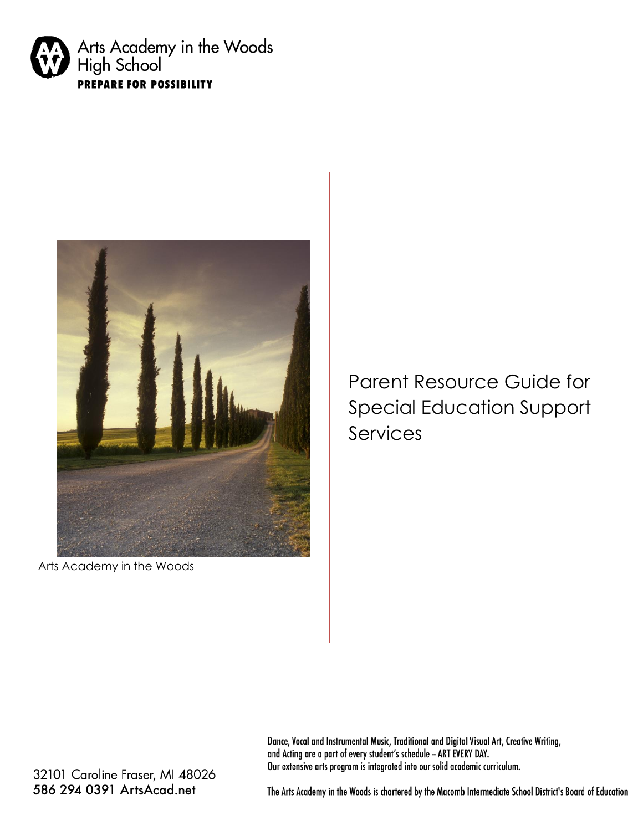



Arts Academy in the Woods

## Parent Resource Guide for Special Education Support Services

Dance, Vocal and Instrumental Music, Traditional and Digital Visual Art, Creative Writing, and Acting are a part of every student's schedule - ART EVERY DAY. Our extensive arts program is integrated into our solid academic curriculum.

32101 Caroline Fraser, MI 48026 586 294 0391 ArtsAcad.net

The Arts Academy in the Woods is chartered by the Macomb Intermediate School District's Board of Education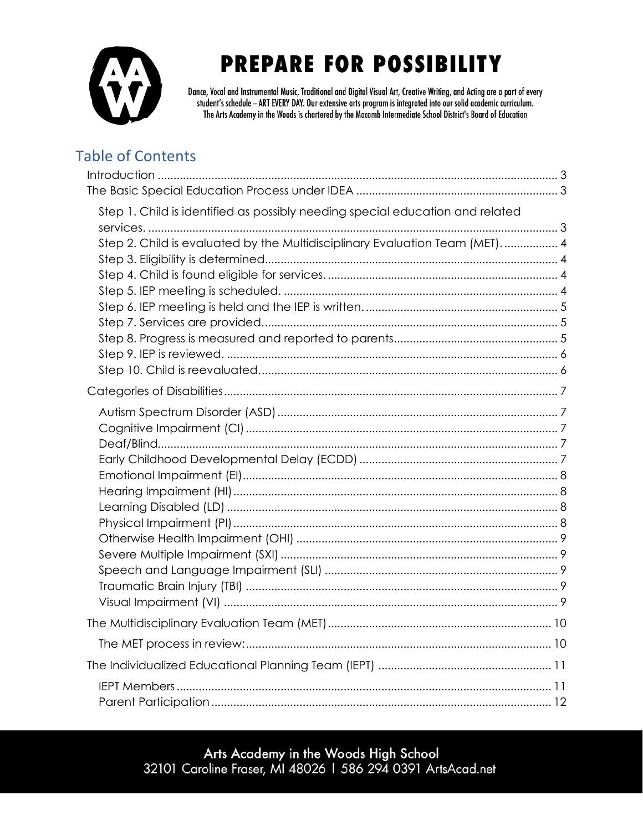

Dance, Vocal and Instrumental Music, Traditional and Digital Visual Art, Creative Writing, and Acting are a part of every student's schedule - ART EVERY DAY. Our extensive arts program is integrated into our solid academic curriculum. The Arts Academy in the Woods is chartered by the Macomb Intermediate School District's Board of Education

## **Table of Contents**

| Step 1. Child is identified as possibly needing special education and related |  |
|-------------------------------------------------------------------------------|--|
| Step 2. Child is evaluated by the Multidisciplinary Evaluation Team (MET) 4   |  |
|                                                                               |  |
|                                                                               |  |
|                                                                               |  |
|                                                                               |  |
|                                                                               |  |
|                                                                               |  |
|                                                                               |  |
|                                                                               |  |
|                                                                               |  |
|                                                                               |  |
|                                                                               |  |
|                                                                               |  |
|                                                                               |  |
|                                                                               |  |
|                                                                               |  |
|                                                                               |  |
|                                                                               |  |
|                                                                               |  |
|                                                                               |  |
|                                                                               |  |
|                                                                               |  |
|                                                                               |  |
|                                                                               |  |
|                                                                               |  |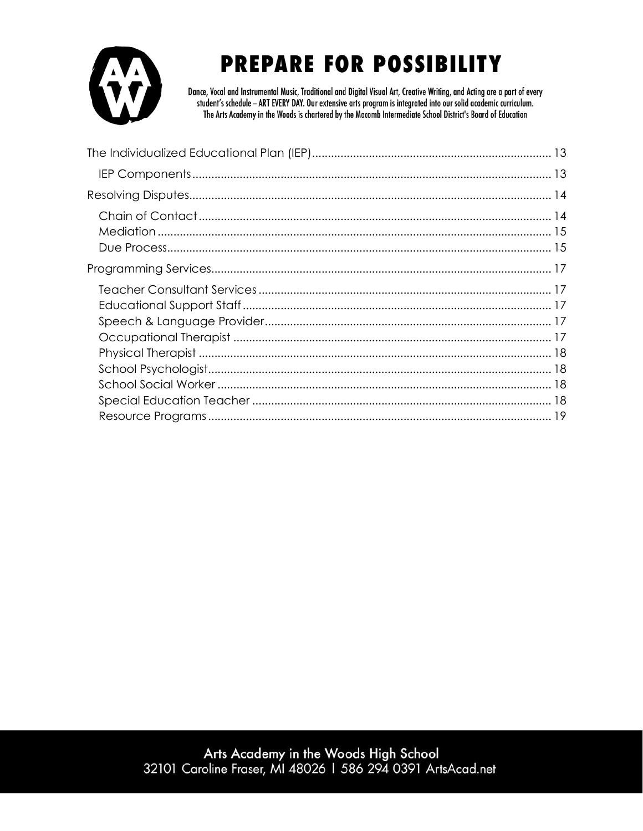

Dance, Vocal and Instrumental Music, Traditional and Digital Visual Art, Creative Writing, and Acting are a part of every student's schedule - ART EVERY DAY. Our extensive arts program is integrated into our solid academic curriculum. The Arts Academy in the Woods is chartered by the Macomb Intermediate School District's Board of Education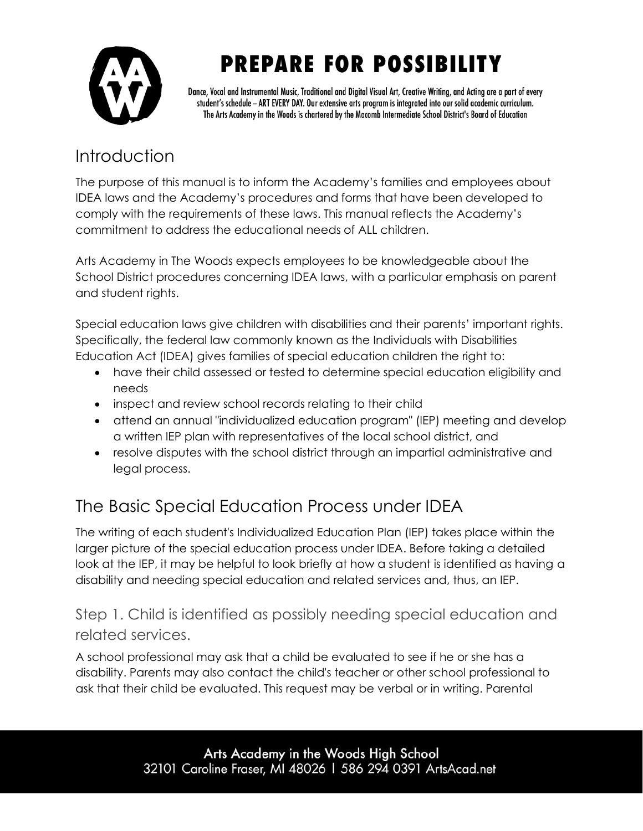

Dance, Vocal and Instrumental Music, Traditional and Digital Visual Art, Creative Writing, and Acting are a part of every student's schedule - ART EVERY DAY. Our extensive arts program is integrated into our solid academic curriculum. The Arts Academy in the Woods is chartered by the Macomb Intermediate School District's Board of Education

## <span id="page-3-0"></span>Introduction

The purpose of this manual is to inform the Academy's families and employees about IDEA laws and the Academy's procedures and forms that have been developed to comply with the requirements of these laws. This manual reflects the Academy's commitment to address the educational needs of ALL children.

Arts Academy in The Woods expects employees to be knowledgeable about the School District procedures concerning IDEA laws, with a particular emphasis on parent and student rights.

Special education laws give children with disabilities and their parents' important rights. Specifically, the federal law commonly known as the Individuals with Disabilities Education Act (IDEA) gives families of special education children the right to:

- have their child assessed or tested to determine special education eligibility and needs
- inspect and review school records relating to their child
- attend an annual "individualized education program" (IEP) meeting and develop a written IEP plan with representatives of the local school district, and
- resolve disputes with the school district through an impartial administrative and legal process.

## <span id="page-3-1"></span>The Basic Special Education Process under IDEA

The writing of each student's Individualized Education Plan (IEP) takes place within the larger picture of the special education process under IDEA. Before taking a detailed look at the IEP, it may be helpful to look briefly at how a student is identified as having a disability and needing special education and related services and, thus, an IEP.

<span id="page-3-2"></span>Step 1. Child is identified as possibly needing special education and related services.

A school professional may ask that a child be evaluated to see if he or she has a disability. Parents may also contact the child's teacher or other school professional to ask that their child be evaluated. This request may be verbal or in writing. Parental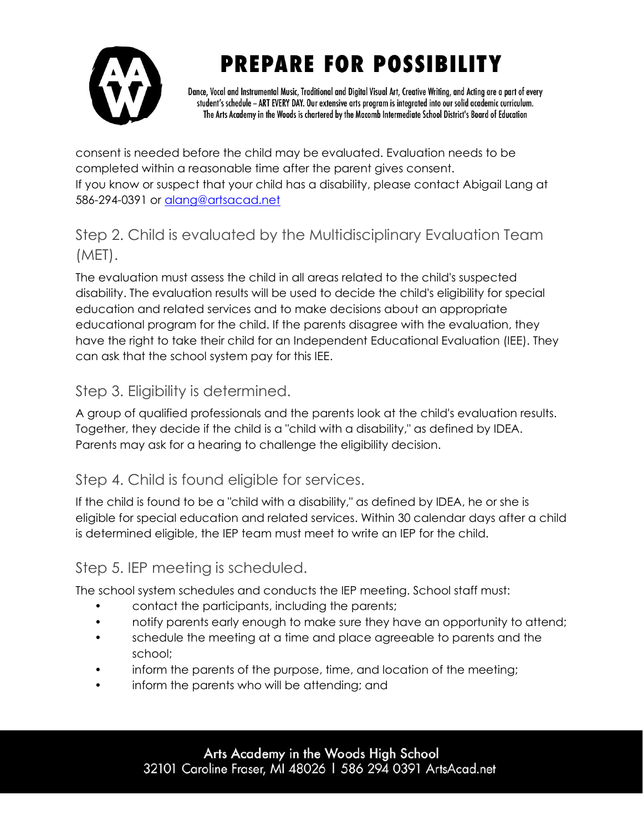

Dance, Vocal and Instrumental Music, Traditional and Digital Visual Art, Creative Writing, and Acting are a part of every student's schedule - ART EVERY DAY. Our extensive arts program is integrated into our solid academic curriculum. The Arts Academy in the Woods is chartered by the Macomb Intermediate School District's Board of Education

consent is needed before the child may be evaluated. Evaluation needs to be completed within a reasonable time after the parent gives consent. If you know or suspect that your child has a disability, please contact Abigail Lang at 586-294-0391 or [alang@artsacad.net](mailto:alang@artsacad.net)

### <span id="page-4-0"></span>Step 2. Child is evaluated by the Multidisciplinary Evaluation Team (MET).

The evaluation must assess the child in all areas related to the child's suspected disability. The evaluation results will be used to decide the child's eligibility for special education and related services and to make decisions about an appropriate educational program for the child. If the parents disagree with the evaluation, they have the right to take their child for an Independent Educational Evaluation (IEE). They can ask that the school system pay for this IEE.

#### <span id="page-4-1"></span>Step 3. Eligibility is determined.

A group of qualified professionals and the parents look at the child's evaluation results. Together, they decide if the child is a "child with a disability," as defined by IDEA. Parents may ask for a hearing to challenge the eligibility decision.

### <span id="page-4-2"></span>Step 4. Child is found eligible for services.

If the child is found to be a "child with a disability," as defined by IDEA, he or she is eligible for special education and related services. Within 30 calendar days after a child is determined eligible, the IEP team must meet to write an IEP for the child.

#### <span id="page-4-3"></span>Step 5. IEP meeting is scheduled.

The school system schedules and conducts the IEP meeting. School staff must:

- contact the participants, including the parents;
- notify parents early enough to make sure they have an opportunity to attend;
- schedule the meeting at a time and place agreeable to parents and the school;
- inform the parents of the purpose, time, and location of the meeting;
- inform the parents who will be attending; and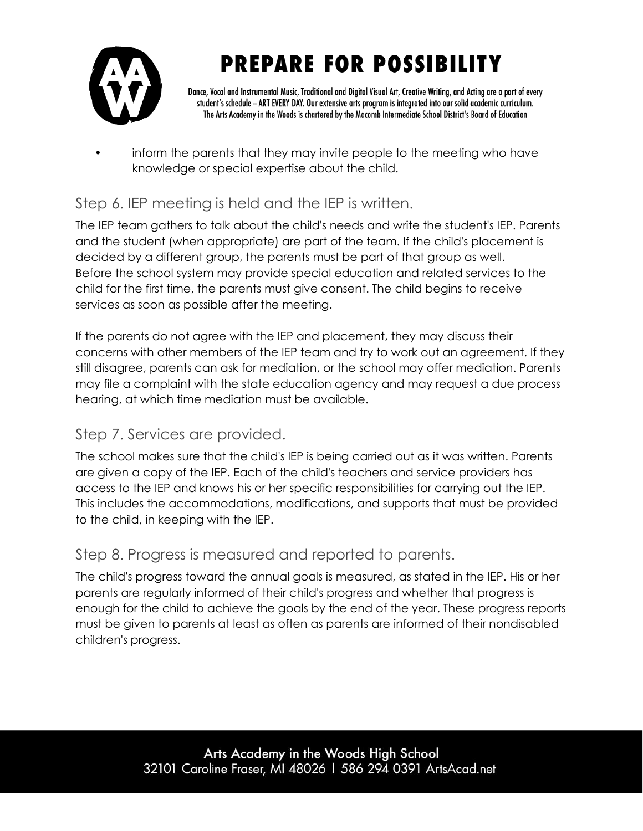

Dance, Vocal and Instrumental Music, Traditional and Digital Visual Art, Creative Writing, and Acting are a part of every student's schedule - ART EVERY DAY. Our extensive arts program is integrated into our solid academic curriculum. The Arts Academy in the Woods is chartered by the Macomb Intermediate School District's Board of Education

• inform the parents that they may invite people to the meeting who have knowledge or special expertise about the child.

### <span id="page-5-0"></span>Step 6. IEP meeting is held and the IEP is written.

The IEP team gathers to talk about the child's needs and write the student's IEP. Parents and the student (when appropriate) are part of the team. If the child's placement is decided by a different group, the parents must be part of that group as well. Before the school system may provide special education and related services to the child for the first time, the parents must give consent. The child begins to receive services as soon as possible after the meeting.

If the parents do not agree with the IEP and placement, they may discuss their concerns with other members of the IEP team and try to work out an agreement. If they still disagree, parents can ask for mediation, or the school may offer mediation. Parents may file a complaint with the state education agency and may request a due process hearing, at which time mediation must be available.

### <span id="page-5-1"></span>Step 7. Services are provided.

The school makes sure that the child's IEP is being carried out as it was written. Parents are given a copy of the IEP. Each of the child's teachers and service providers has access to the IEP and knows his or her specific responsibilities for carrying out the IEP. This includes the accommodations, modifications, and supports that must be provided to the child, in keeping with the IEP.

### <span id="page-5-2"></span>Step 8. Progress is measured and reported to parents.

The child's progress toward the annual goals is measured, as stated in the IEP. His or her parents are regularly informed of their child's progress and whether that progress is enough for the child to achieve the goals by the end of the year. These progress reports must be given to parents at least as often as parents are informed of their nondisabled children's progress.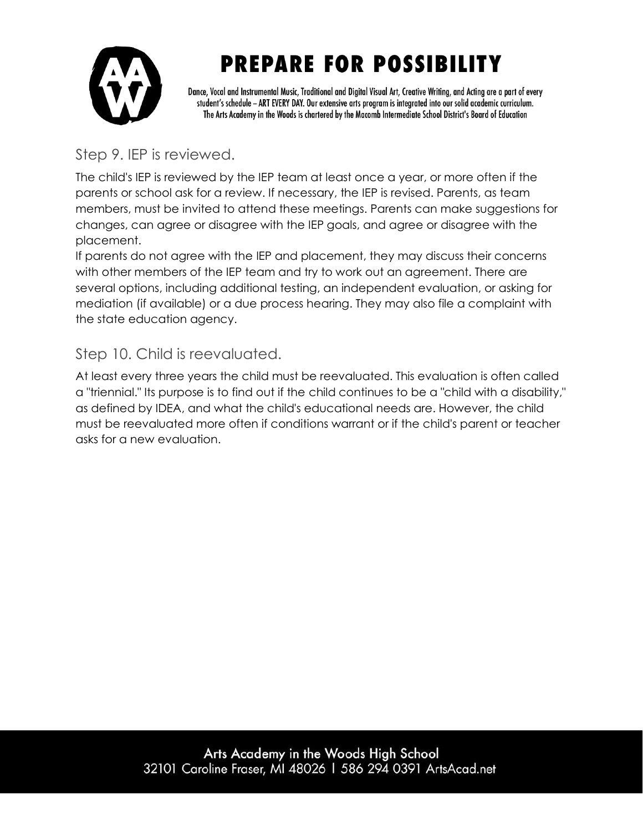

Dance, Vocal and Instrumental Music, Traditional and Digital Visual Art, Creative Writing, and Acting are a part of every student's schedule - ART EVERY DAY. Our extensive arts program is integrated into our solid academic curriculum. The Arts Academy in the Woods is chartered by the Macomb Intermediate School District's Board of Education

### <span id="page-6-0"></span>Step 9. IEP is reviewed.

The child's IEP is reviewed by the IEP team at least once a year, or more often if the parents or school ask for a review. If necessary, the IEP is revised. Parents, as team members, must be invited to attend these meetings. Parents can make suggestions for changes, can agree or disagree with the IEP goals, and agree or disagree with the placement.

If parents do not agree with the IEP and placement, they may discuss their concerns with other members of the IEP team and try to work out an agreement. There are several options, including additional testing, an independent evaluation, or asking for mediation (if available) or a due process hearing. They may also file a complaint with the state education agency.

### <span id="page-6-1"></span>Step 10. Child is reevaluated.

At least every three years the child must be reevaluated. This evaluation is often called a "triennial." Its purpose is to find out if the child continues to be a "child with a disability," as defined by IDEA, and what the child's educational needs are. However, the child must be reevaluated more often if conditions warrant or if the child's parent or teacher asks for a new evaluation.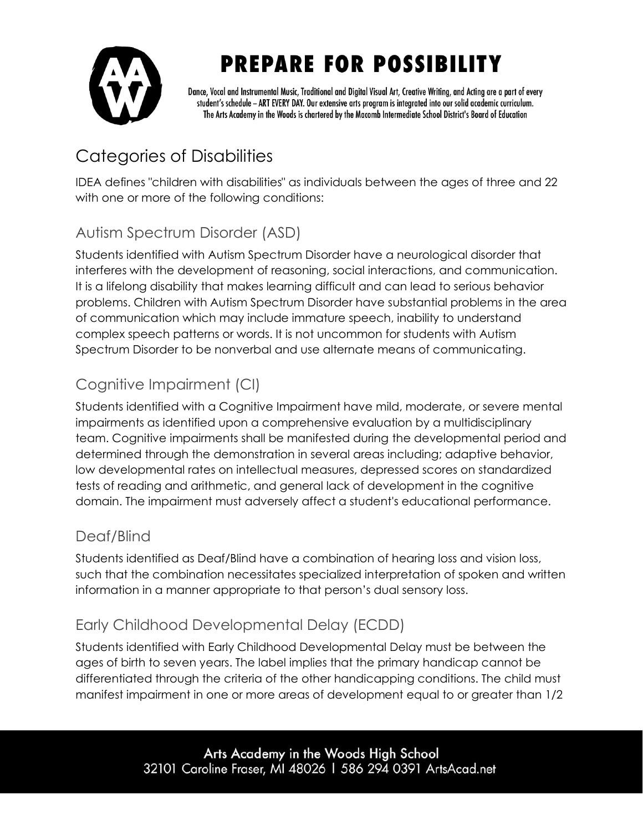

Dance, Vocal and Instrumental Music, Traditional and Digital Visual Art, Creative Writing, and Acting are a part of every student's schedule - ART EVERY DAY. Our extensive arts program is integrated into our solid academic curriculum. The Arts Academy in the Woods is chartered by the Macomb Intermediate School District's Board of Education

## <span id="page-7-0"></span>Categories of Disabilities

IDEA defines "children with disabilities" as individuals between the ages of three and 22 with one or more of the following conditions:

## <span id="page-7-1"></span>Autism Spectrum Disorder (ASD)

Students identified with Autism Spectrum Disorder have a neurological disorder that interferes with the development of reasoning, social interactions, and communication. It is a lifelong disability that makes learning difficult and can lead to serious behavior problems. Children with Autism Spectrum Disorder have substantial problems in the area of communication which may include immature speech, inability to understand complex speech patterns or words. It is not uncommon for students with Autism Spectrum Disorder to be nonverbal and use alternate means of communicating.

## <span id="page-7-2"></span>Cognitive Impairment (CI)

Students identified with a Cognitive Impairment have mild, moderate, or severe mental impairments as identified upon a comprehensive evaluation by a multidisciplinary team. Cognitive impairments shall be manifested during the developmental period and determined through the demonstration in several areas including; adaptive behavior, low developmental rates on intellectual measures, depressed scores on standardized tests of reading and arithmetic, and general lack of development in the cognitive domain. The impairment must adversely affect a student's educational performance.

### <span id="page-7-3"></span>Deaf/Blind

Students identified as Deaf/Blind have a combination of hearing loss and vision loss, such that the combination necessitates specialized interpretation of spoken and written information in a manner appropriate to that person's dual sensory loss.

## <span id="page-7-4"></span>Early Childhood Developmental Delay (ECDD)

Students identified with Early Childhood Developmental Delay must be between the ages of birth to seven years. The label implies that the primary handicap cannot be differentiated through the criteria of the other handicapping conditions. The child must manifest impairment in one or more areas of development equal to or greater than 1/2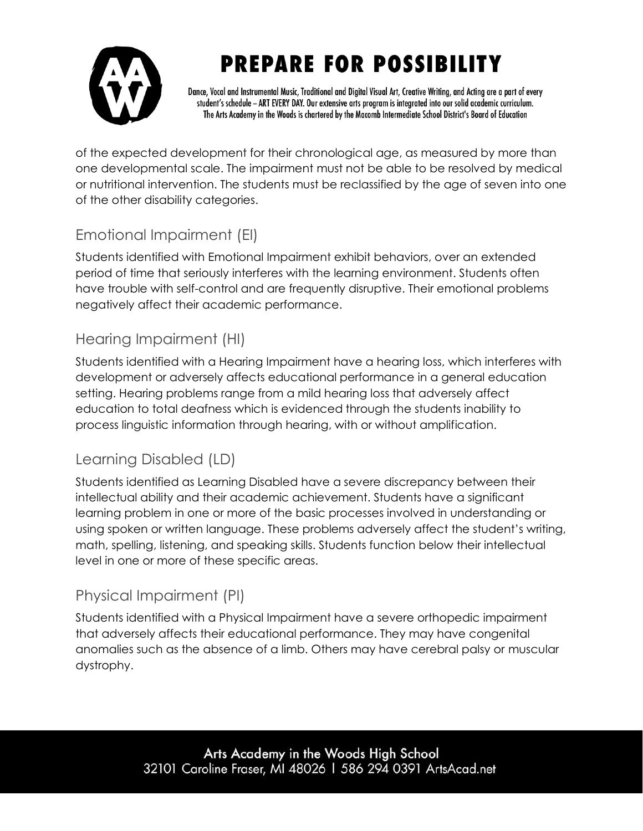

Dance, Vocal and Instrumental Music, Traditional and Digital Visual Art, Creative Writing, and Acting are a part of every student's schedule - ART EVERY DAY. Our extensive arts program is integrated into our solid academic curriculum. The Arts Academy in the Woods is chartered by the Macomb Intermediate School District's Board of Education

of the expected development for their chronological age, as measured by more than one developmental scale. The impairment must not be able to be resolved by medical or nutritional intervention. The students must be reclassified by the age of seven into one of the other disability categories.

### <span id="page-8-0"></span>Emotional Impairment (EI)

Students identified with Emotional Impairment exhibit behaviors, over an extended period of time that seriously interferes with the learning environment. Students often have trouble with self-control and are frequently disruptive. Their emotional problems negatively affect their academic performance.

### <span id="page-8-1"></span>Hearing Impairment (HI)

Students identified with a Hearing Impairment have a hearing loss, which interferes with development or adversely affects educational performance in a general education setting. Hearing problems range from a mild hearing loss that adversely affect education to total deafness which is evidenced through the students inability to process linguistic information through hearing, with or without amplification.

## <span id="page-8-2"></span>Learning Disabled (LD)

Students identified as Learning Disabled have a severe discrepancy between their intellectual ability and their academic achievement. Students have a significant learning problem in one or more of the basic processes involved in understanding or using spoken or written language. These problems adversely affect the student's writing, math, spelling, listening, and speaking skills. Students function below their intellectual level in one or more of these specific areas.

### <span id="page-8-3"></span>Physical Impairment (PI)

Students identified with a Physical Impairment have a severe orthopedic impairment that adversely affects their educational performance. They may have congenital anomalies such as the absence of a limb. Others may have cerebral palsy or muscular dystrophy.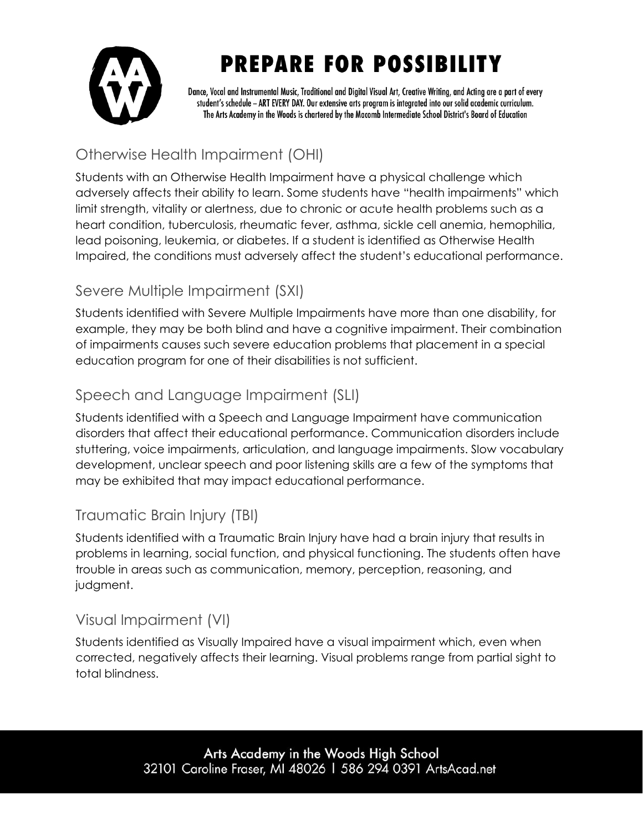

Dance, Vocal and Instrumental Music, Traditional and Digital Visual Art, Creative Writing, and Acting are a part of every student's schedule - ART EVERY DAY. Our extensive arts program is integrated into our solid academic curriculum. The Arts Academy in the Woods is chartered by the Macomb Intermediate School District's Board of Education

## <span id="page-9-0"></span>Otherwise Health Impairment (OHI)

Students with an Otherwise Health Impairment have a physical challenge which adversely affects their ability to learn. Some students have "health impairments" which limit strength, vitality or alertness, due to chronic or acute health problems such as a heart condition, tuberculosis, rheumatic fever, asthma, sickle cell anemia, hemophilia, lead poisoning, leukemia, or diabetes. If a student is identified as Otherwise Health Impaired, the conditions must adversely affect the student's educational performance.

### <span id="page-9-1"></span>Severe Multiple Impairment (SXI)

Students identified with Severe Multiple Impairments have more than one disability, for example, they may be both blind and have a cognitive impairment. Their combination of impairments causes such severe education problems that placement in a special education program for one of their disabilities is not sufficient.

### <span id="page-9-2"></span>Speech and Language Impairment (SLI)

Students identified with a Speech and Language Impairment have communication disorders that affect their educational performance. Communication disorders include stuttering, voice impairments, articulation, and language impairments. Slow vocabulary development, unclear speech and poor listening skills are a few of the symptoms that may be exhibited that may impact educational performance.

### <span id="page-9-3"></span>Traumatic Brain Injury (TBI)

Students identified with a Traumatic Brain Injury have had a brain injury that results in problems in learning, social function, and physical functioning. The students often have trouble in areas such as communication, memory, perception, reasoning, and judgment.

### <span id="page-9-4"></span>Visual Impairment (VI)

Students identified as Visually Impaired have a visual impairment which, even when corrected, negatively affects their learning. Visual problems range from partial sight to total blindness.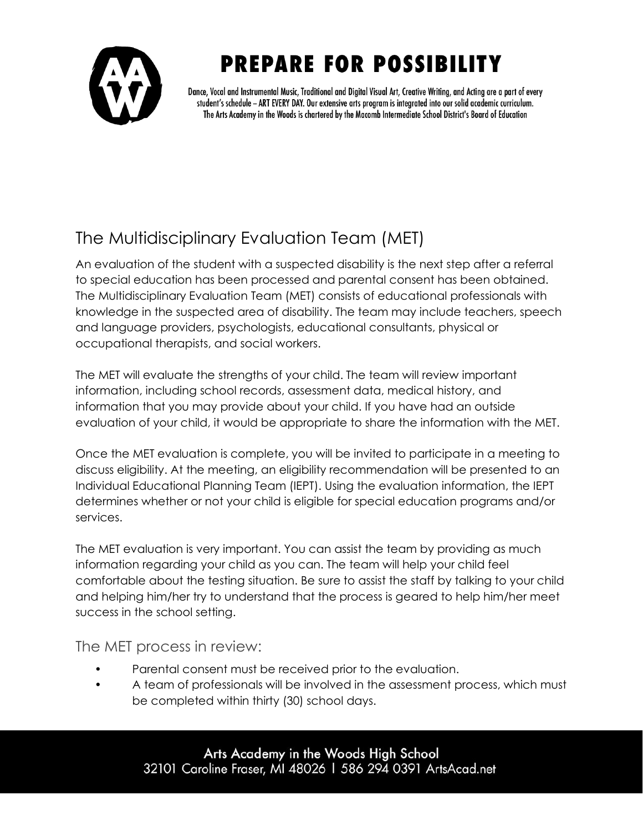

Dance, Vocal and Instrumental Music, Traditional and Digital Visual Art, Creative Writing, and Acting are a part of every student's schedule - ART EVERY DAY. Our extensive arts program is integrated into our solid academic curriculum. The Arts Academy in the Woods is chartered by the Macomb Intermediate School District's Board of Education

## <span id="page-10-0"></span>The Multidisciplinary Evaluation Team (MET)

An evaluation of the student with a suspected disability is the next step after a referral to special education has been processed and parental consent has been obtained. The Multidisciplinary Evaluation Team (MET) consists of educational professionals with knowledge in the suspected area of disability. The team may include teachers, speech and language providers, psychologists, educational consultants, physical or occupational therapists, and social workers.

The MET will evaluate the strengths of your child. The team will review important information, including school records, assessment data, medical history, and information that you may provide about your child. If you have had an outside evaluation of your child, it would be appropriate to share the information with the MET.

Once the MET evaluation is complete, you will be invited to participate in a meeting to discuss eligibility. At the meeting, an eligibility recommendation will be presented to an Individual Educational Planning Team (IEPT). Using the evaluation information, the IEPT determines whether or not your child is eligible for special education programs and/or services.

The MET evaluation is very important. You can assist the team by providing as much information regarding your child as you can. The team will help your child feel comfortable about the testing situation. Be sure to assist the staff by talking to your child and helping him/her try to understand that the process is geared to help him/her meet success in the school setting.

#### <span id="page-10-1"></span>The MET process in review:

- Parental consent must be received prior to the evaluation.
- A team of professionals will be involved in the assessment process, which must be completed within thirty (30) school days.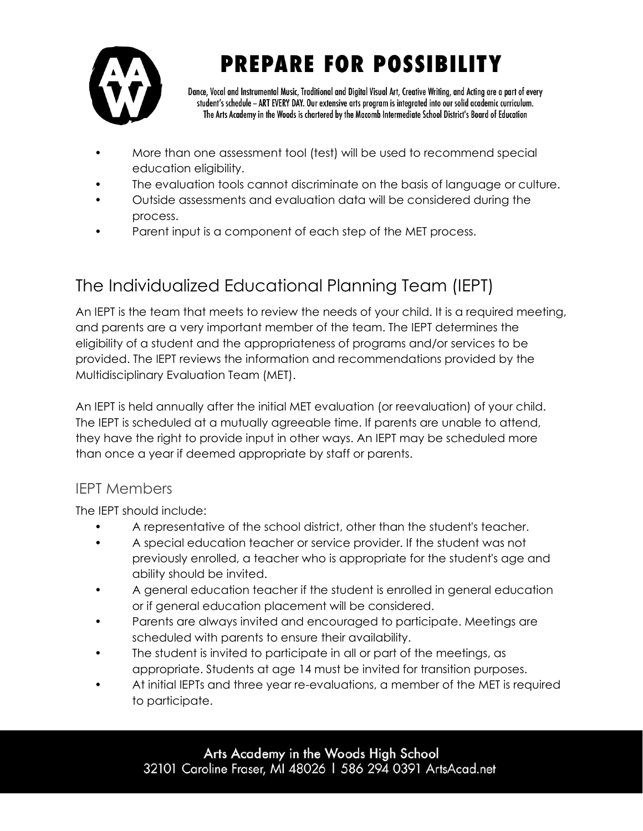

Dance, Vocal and Instrumental Music, Traditional and Digital Visual Art, Creative Writing, and Acting are a part of every student's schedule - ART EVERY DAY. Our extensive arts program is integrated into our solid academic curriculum. The Arts Academy in the Woods is chartered by the Macomb Intermediate School District's Board of Education

- More than one assessment tool (test) will be used to recommend special education eligibility.
- The evaluation tools cannot discriminate on the basis of language or culture.
- Outside assessments and evaluation data will be considered during the process.
- Parent input is a component of each step of the MET process.

## <span id="page-11-0"></span>The Individualized Educational Planning Team (IEPT)

An IEPT is the team that meets to review the needs of your child. It is a required meeting, and parents are a very important member of the team. The IEPT determines the eligibility of a student and the appropriateness of programs and/or services to be provided. The IEPT reviews the information and recommendations provided by the Multidisciplinary Evaluation Team (MET).

An IEPT is held annually after the initial MET evaluation (or reevaluation) of your child. The IEPT is scheduled at a mutually agreeable time. If parents are unable to attend, they have the right to provide input in other ways. An IEPT may be scheduled more than once a year if deemed appropriate by staff or parents.

### <span id="page-11-1"></span>IEPT Members

The IEPT should include:

- A representative of the school district, other than the student's teacher.
- A special education teacher or service provider. If the student was not previously enrolled, a teacher who is appropriate for the student's age and ability should be invited.
- A general education teacher if the student is enrolled in general education or if general education placement will be considered.
- Parents are always invited and encouraged to participate. Meetings are scheduled with parents to ensure their availability.
- The student is invited to participate in all or part of the meetings, as appropriate. Students at age 14 must be invited for transition purposes.
- At initial IEPTs and three year re-evaluations, a member of the MET is required to participate.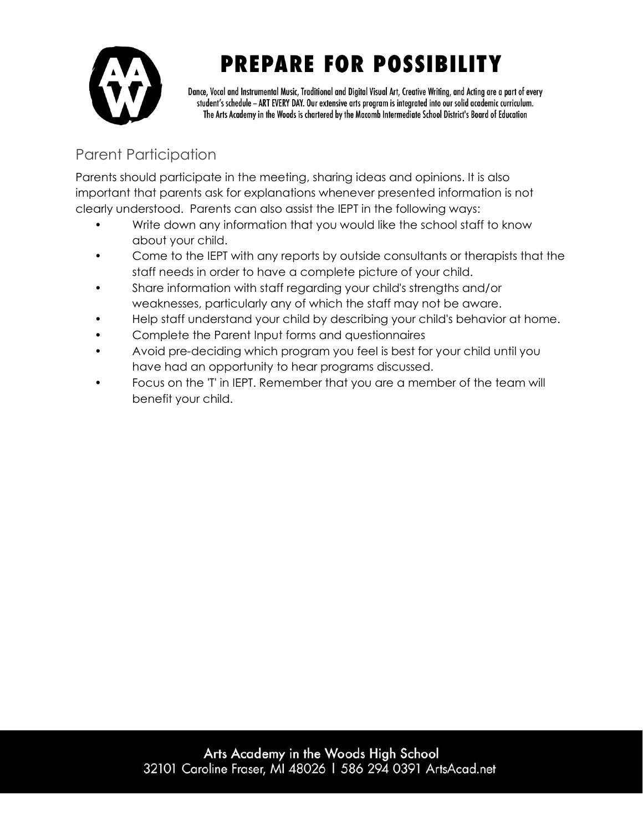

Dance, Vocal and Instrumental Music, Traditional and Digital Visual Art, Creative Writing, and Acting are a part of every student's schedule - ART EVERY DAY. Our extensive arts program is integrated into our solid academic curriculum. The Arts Academy in the Woods is chartered by the Macomb Intermediate School District's Board of Education

## <span id="page-12-0"></span>Parent Participation

Parents should participate in the meeting, sharing ideas and opinions. It is also important that parents ask for explanations whenever presented information is not clearly understood. Parents can also assist the IEPT in the following ways:

- Write down any information that you would like the school staff to know about your child.
- Come to the IEPT with any reports by outside consultants or therapists that the staff needs in order to have a complete picture of your child.
- Share information with staff regarding your child's strengths and/or weaknesses, particularly any of which the staff may not be aware.
- Help staff understand your child by describing your child's behavior at home.
- Complete the Parent Input forms and questionnaires
- Avoid pre-deciding which program you feel is best for your child until you have had an opportunity to hear programs discussed.
- Focus on the 'T' in IEPT. Remember that you are a member of the team will benefit your child.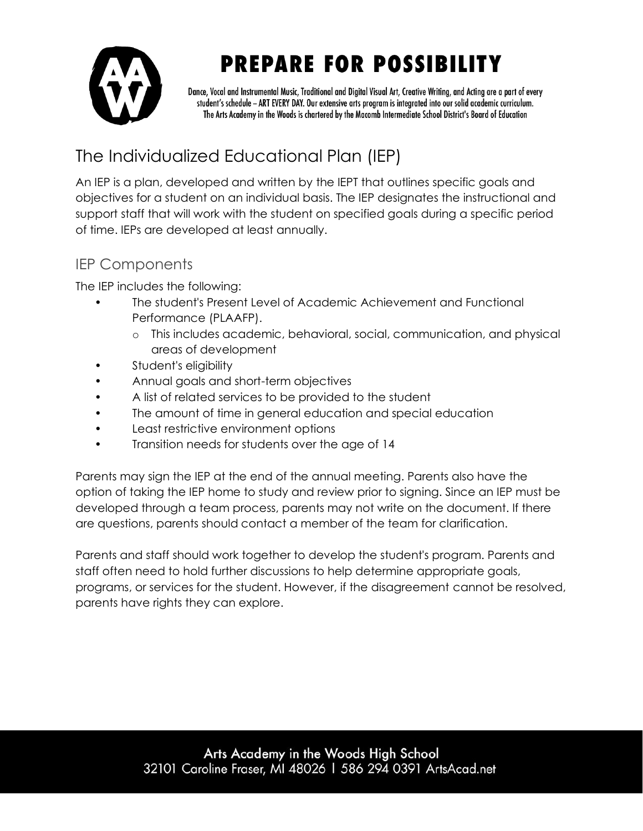

Dance, Vocal and Instrumental Music, Traditional and Digital Visual Art, Creative Writing, and Acting are a part of every student's schedule - ART EVERY DAY. Our extensive arts program is integrated into our solid academic curriculum. The Arts Academy in the Woods is chartered by the Macomb Intermediate School District's Board of Education

## <span id="page-13-0"></span>The Individualized Educational Plan (IEP)

An IEP is a plan, developed and written by the IEPT that outlines specific goals and objectives for a student on an individual basis. The IEP designates the instructional and support staff that will work with the student on specified goals during a specific period of time. IEPs are developed at least annually.

### <span id="page-13-1"></span>IEP Components

The IEP includes the following:

- The student's Present Level of Academic Achievement and Functional Performance (PLAAFP).
	- o This includes academic, behavioral, social, communication, and physical areas of development
- Student's eligibility
- Annual goals and short-term objectives
- A list of related services to be provided to the student
- The amount of time in general education and special education
- Least restrictive environment options
- Transition needs for students over the age of 14

Parents may sign the IEP at the end of the annual meeting. Parents also have the option of taking the IEP home to study and review prior to signing. Since an IEP must be developed through a team process, parents may not write on the document. If there are questions, parents should contact a member of the team for clarification.

Parents and staff should work together to develop the student's program. Parents and staff often need to hold further discussions to help determine appropriate goals, programs, or services for the student. However, if the disagreement cannot be resolved, parents have rights they can explore.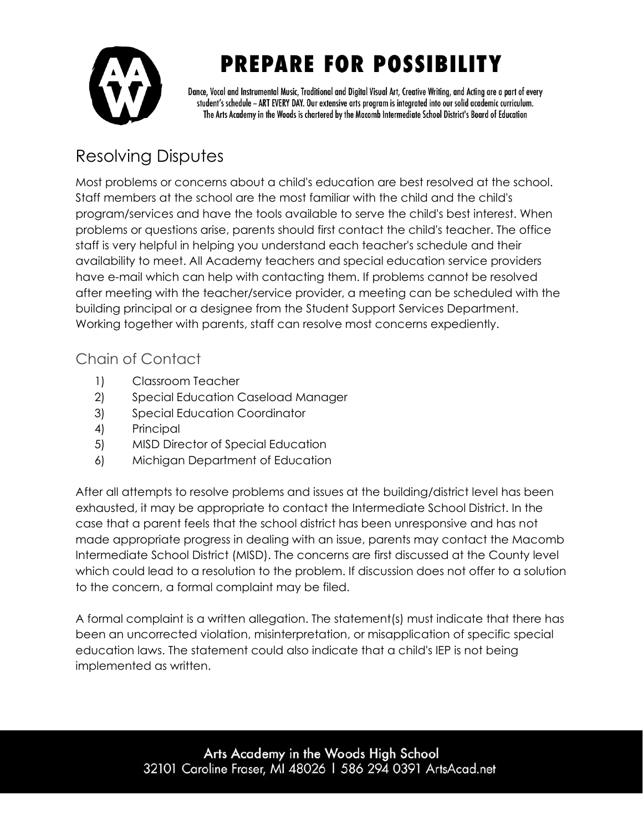

Dance, Vocal and Instrumental Music, Traditional and Digital Visual Art, Creative Writing, and Acting are a part of every student's schedule - ART EVERY DAY. Our extensive arts program is integrated into our solid academic curriculum. The Arts Academy in the Woods is chartered by the Macomb Intermediate School District's Board of Education

## <span id="page-14-0"></span>Resolving Disputes

Most problems or concerns about a child's education are best resolved at the school. Staff members at the school are the most familiar with the child and the child's program/services and have the tools available to serve the child's best interest. When problems or questions arise, parents should first contact the child's teacher. The office staff is very helpful in helping you understand each teacher's schedule and their availability to meet. All Academy teachers and special education service providers have e-mail which can help with contacting them. If problems cannot be resolved after meeting with the teacher/service provider, a meeting can be scheduled with the building principal or a designee from the Student Support Services Department. Working together with parents, staff can resolve most concerns expediently.

## <span id="page-14-1"></span>Chain of Contact

- 1) Classroom Teacher
- 2) Special Education Caseload Manager
- 3) Special Education Coordinator
- 4) Principal
- 5) MISD Director of Special Education
- 6) Michigan Department of Education

After all attempts to resolve problems and issues at the building/district level has been exhausted, it may be appropriate to contact the Intermediate School District. In the case that a parent feels that the school district has been unresponsive and has not made appropriate progress in dealing with an issue, parents may contact the Macomb Intermediate School District (MISD). The concerns are first discussed at the County level which could lead to a resolution to the problem. If discussion does not offer to a solution to the concern, a formal complaint may be filed.

A formal complaint is a written allegation. The statement(s) must indicate that there has been an uncorrected violation, misinterpretation, or misapplication of specific special education laws. The statement could also indicate that a child's IEP is not being implemented as written.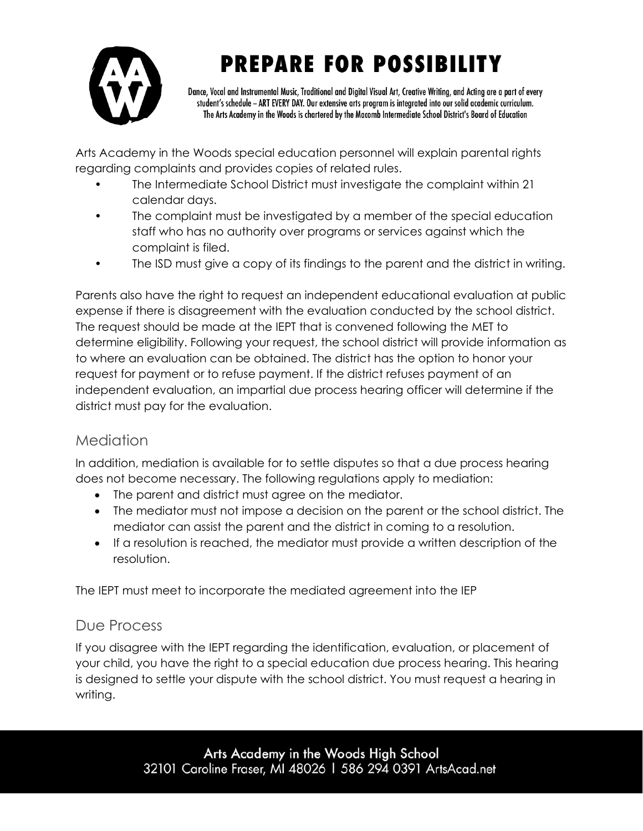

Dance, Vocal and Instrumental Music, Traditional and Digital Visual Art, Creative Writing, and Acting are a part of every student's schedule - ART EVERY DAY. Our extensive arts program is integrated into our solid academic curriculum. The Arts Academy in the Woods is chartered by the Macomb Intermediate School District's Board of Education

Arts Academy in the Woods special education personnel will explain parental rights regarding complaints and provides copies of related rules.

- The Intermediate School District must investigate the complaint within 21 calendar days.
- The complaint must be investigated by a member of the special education staff who has no authority over programs or services against which the complaint is filed.
- The ISD must give a copy of its findings to the parent and the district in writing.

Parents also have the right to request an independent educational evaluation at public expense if there is disagreement with the evaluation conducted by the school district. The request should be made at the IEPT that is convened following the MET to determine eligibility. Following your request, the school district will provide information as to where an evaluation can be obtained. The district has the option to honor your request for payment or to refuse payment. If the district refuses payment of an independent evaluation, an impartial due process hearing officer will determine if the district must pay for the evaluation.

#### <span id="page-15-0"></span>**Mediation**

In addition, mediation is available for to settle disputes so that a due process hearing does not become necessary. The following regulations apply to mediation:

- The parent and district must agree on the mediator.
- The mediator must not impose a decision on the parent or the school district. The mediator can assist the parent and the district in coming to a resolution.
- If a resolution is reached, the mediator must provide a written description of the resolution.

<span id="page-15-1"></span>The IEPT must meet to incorporate the mediated agreement into the IEP

#### Due Process

If you disagree with the IEPT regarding the identification, evaluation, or placement of your child, you have the right to a special education due process hearing. This hearing is designed to settle your dispute with the school district. You must request a hearing in writing.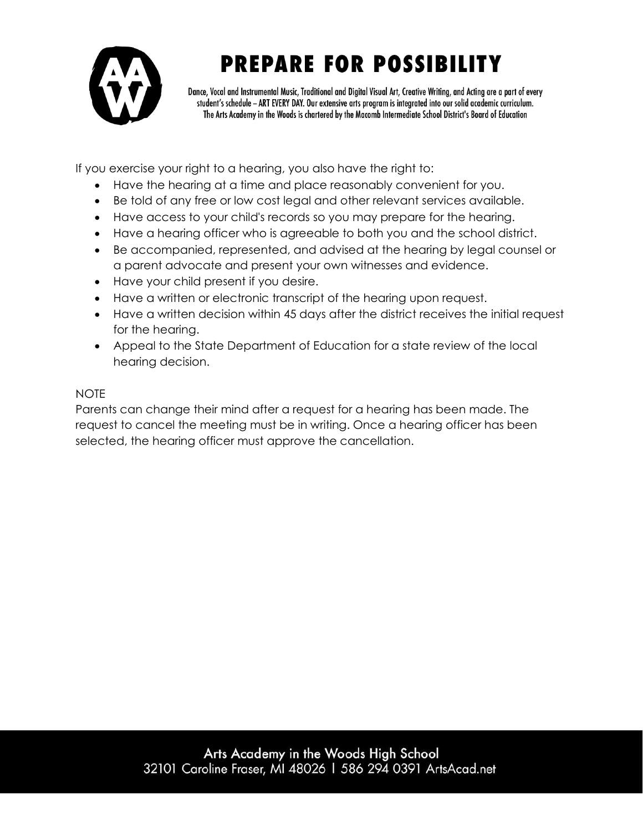

Dance, Vocal and Instrumental Music, Traditional and Digital Visual Art, Creative Writing, and Acting are a part of every student's schedule - ART EVERY DAY. Our extensive arts program is integrated into our solid academic curriculum. The Arts Academy in the Woods is chartered by the Macomb Intermediate School District's Board of Education

If you exercise your right to a hearing, you also have the right to:

- Have the hearing at a time and place reasonably convenient for you.
- Be told of any free or low cost legal and other relevant services available.
- Have access to your child's records so you may prepare for the hearing.
- Have a hearing officer who is agreeable to both you and the school district.
- Be accompanied, represented, and advised at the hearing by legal counsel or a parent advocate and present your own witnesses and evidence.
- Have your child present if you desire.
- Have a written or electronic transcript of the hearing upon request.
- Have a written decision within 45 days after the district receives the initial request for the hearing.
- Appeal to the State Department of Education for a state review of the local hearing decision.

#### NOTE

Parents can change their mind after a request for a hearing has been made. The request to cancel the meeting must be in writing. Once a hearing officer has been selected, the hearing officer must approve the cancellation.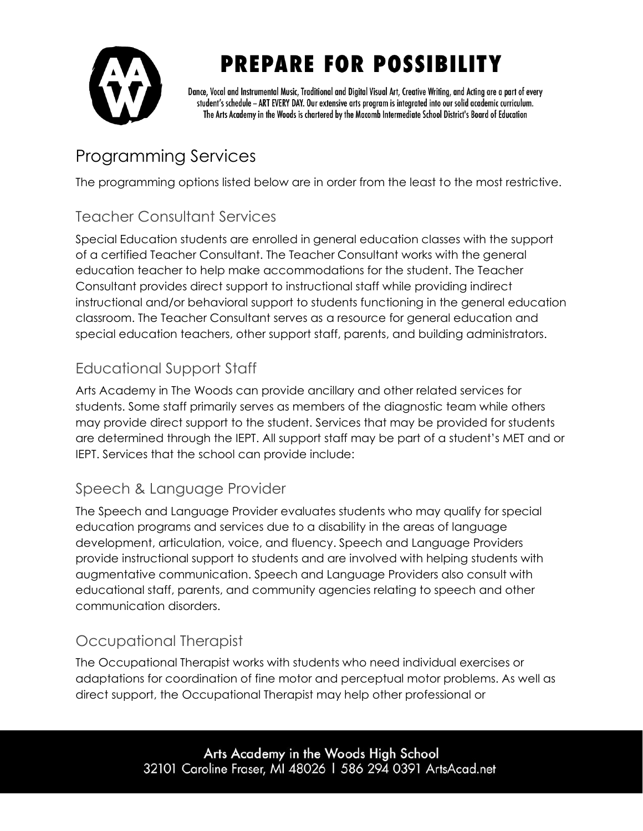

Dance, Vocal and Instrumental Music, Traditional and Digital Visual Art, Creative Writing, and Acting are a part of every student's schedule - ART EVERY DAY. Our extensive arts program is integrated into our solid academic curriculum. The Arts Academy in the Woods is chartered by the Macomb Intermediate School District's Board of Education

## <span id="page-17-0"></span>Programming Services

<span id="page-17-1"></span>The programming options listed below are in order from the least to the most restrictive.

## Teacher Consultant Services

Special Education students are enrolled in general education classes with the support of a certified Teacher Consultant. The Teacher Consultant works with the general education teacher to help make accommodations for the student. The Teacher Consultant provides direct support to instructional staff while providing indirect instructional and/or behavioral support to students functioning in the general education classroom. The Teacher Consultant serves as a resource for general education and special education teachers, other support staff, parents, and building administrators.

## <span id="page-17-2"></span>Educational Support Staff

Arts Academy in The Woods can provide ancillary and other related services for students. Some staff primarily serves as members of the diagnostic team while others may provide direct support to the student. Services that may be provided for students are determined through the IEPT. All support staff may be part of a student's MET and or IEPT. Services that the school can provide include:

## <span id="page-17-3"></span>Speech & Language Provider

The Speech and Language Provider evaluates students who may qualify for special education programs and services due to a disability in the areas of language development, articulation, voice, and fluency. Speech and Language Providers provide instructional support to students and are involved with helping students with augmentative communication. Speech and Language Providers also consult with educational staff, parents, and community agencies relating to speech and other communication disorders.

## <span id="page-17-4"></span>Occupational Therapist

The Occupational Therapist works with students who need individual exercises or adaptations for coordination of fine motor and perceptual motor problems. As well as direct support, the Occupational Therapist may help other professional or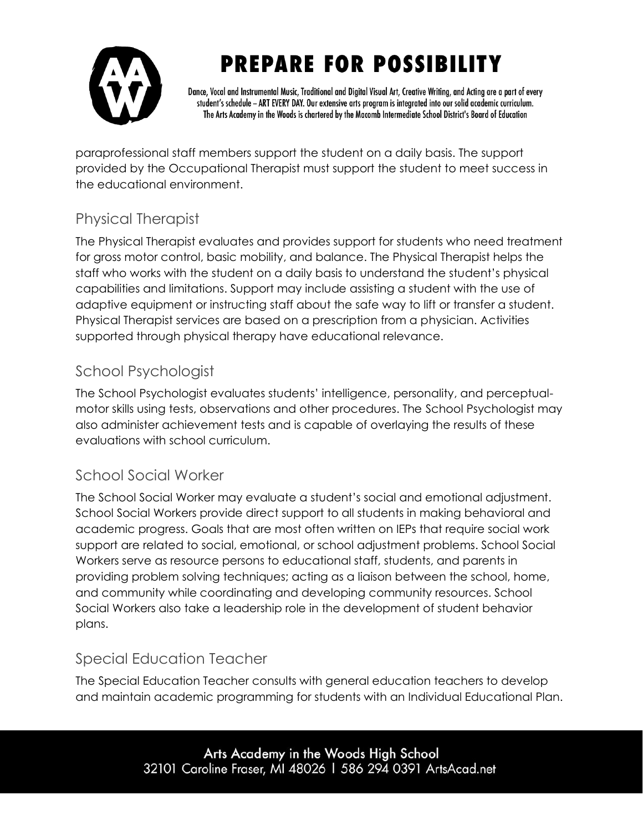

Dance, Vocal and Instrumental Music, Traditional and Digital Visual Art, Creative Writing, and Acting are a part of every student's schedule - ART EVERY DAY. Our extensive arts program is integrated into our solid academic curriculum. The Arts Academy in the Woods is chartered by the Macomb Intermediate School District's Board of Education

paraprofessional staff members support the student on a daily basis. The support provided by the Occupational Therapist must support the student to meet success in the educational environment.

## <span id="page-18-0"></span>Physical Therapist

The Physical Therapist evaluates and provides support for students who need treatment for gross motor control, basic mobility, and balance. The Physical Therapist helps the staff who works with the student on a daily basis to understand the student's physical capabilities and limitations. Support may include assisting a student with the use of adaptive equipment or instructing staff about the safe way to lift or transfer a student. Physical Therapist services are based on a prescription from a physician. Activities supported through physical therapy have educational relevance.

### <span id="page-18-1"></span>School Psychologist

The School Psychologist evaluates students' intelligence, personality, and perceptualmotor skills using tests, observations and other procedures. The School Psychologist may also administer achievement tests and is capable of overlaying the results of these evaluations with school curriculum.

### <span id="page-18-2"></span>School Social Worker

The School Social Worker may evaluate a student's social and emotional adjustment. School Social Workers provide direct support to all students in making behavioral and academic progress. Goals that are most often written on IEPs that require social work support are related to social, emotional, or school adjustment problems. School Social Workers serve as resource persons to educational staff, students, and parents in providing problem solving techniques; acting as a liaison between the school, home, and community while coordinating and developing community resources. School Social Workers also take a leadership role in the development of student behavior plans.

### <span id="page-18-3"></span>Special Education Teacher

The Special Education Teacher consults with general education teachers to develop and maintain academic programming for students with an Individual Educational Plan.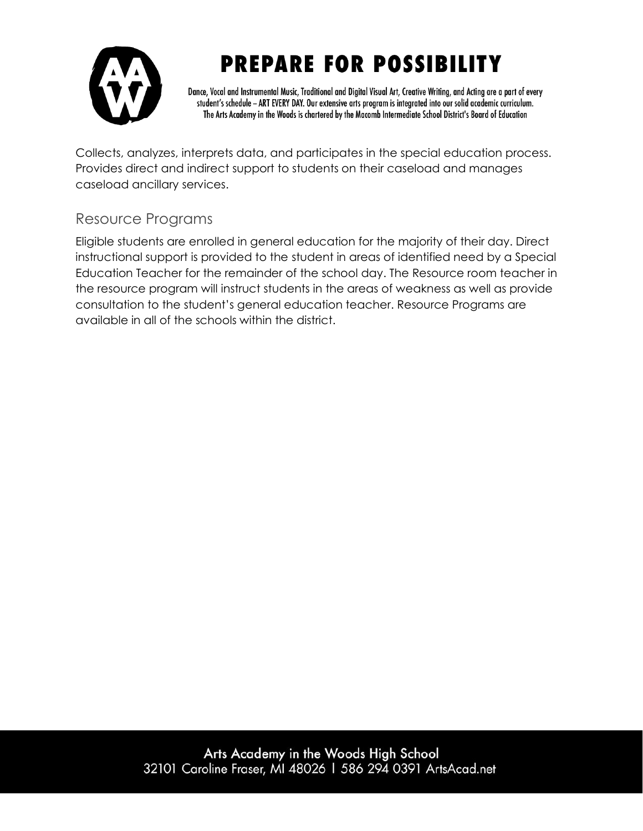

Dance, Vocal and Instrumental Music, Traditional and Digital Visual Art, Creative Writing, and Acting are a part of every student's schedule - ART EVERY DAY. Our extensive arts program is integrated into our solid academic curriculum. The Arts Academy in the Woods is chartered by the Macomb Intermediate School District's Board of Education

Collects, analyzes, interprets data, and participates in the special education process. Provides direct and indirect support to students on their caseload and manages caseload ancillary services.

#### <span id="page-19-0"></span>Resource Programs

Eligible students are enrolled in general education for the majority of their day. Direct instructional support is provided to the student in areas of identified need by a Special Education Teacher for the remainder of the school day. The Resource room teacher in the resource program will instruct students in the areas of weakness as well as provide consultation to the student's general education teacher. Resource Programs are available in all of the schools within the district.